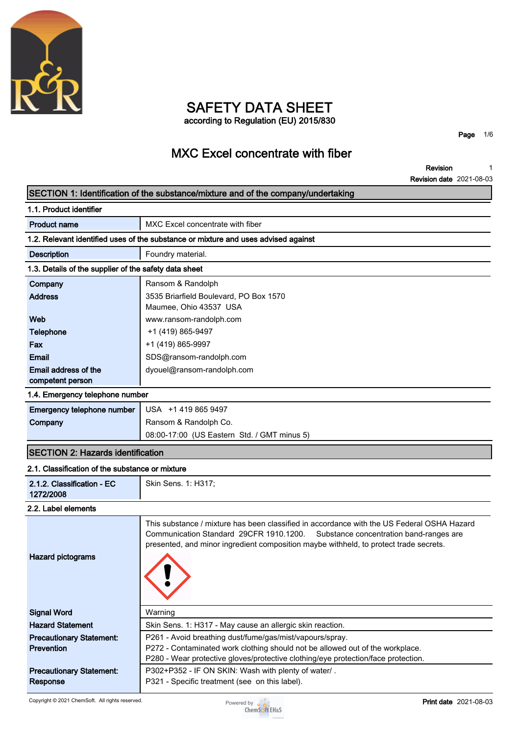

# **SAFETY DATA SHEET according to Regulation (EU) 2015/830**

**Page 1/6**

# **MXC Excel concentrate with fiber**

**Revision Revision date 2021-08-03 1**

### **SECTION 1: Identification of the substance/mixture and of the company/undertaking**

| 1.1. Product identifier                               |                                                                                    |  |  |  |  |
|-------------------------------------------------------|------------------------------------------------------------------------------------|--|--|--|--|
| <b>Product name</b>                                   | MXC Excel concentrate with fiber                                                   |  |  |  |  |
|                                                       | 1.2. Relevant identified uses of the substance or mixture and uses advised against |  |  |  |  |
| <b>Description</b>                                    | Foundry material.                                                                  |  |  |  |  |
| 1.3. Details of the supplier of the safety data sheet |                                                                                    |  |  |  |  |
| Company                                               | Ransom & Randolph                                                                  |  |  |  |  |
| <b>Address</b>                                        | 3535 Briarfield Boulevard, PO Box 1570                                             |  |  |  |  |
|                                                       | Maumee, Ohio 43537 USA                                                             |  |  |  |  |
| Web                                                   | www.ransom-randolph.com                                                            |  |  |  |  |
| <b>Telephone</b>                                      | +1 (419) 865-9497                                                                  |  |  |  |  |
| Fax                                                   | +1 (419) 865-9997                                                                  |  |  |  |  |
| <b>Email</b>                                          | SDS@ransom-randolph.com                                                            |  |  |  |  |
| Email address of the                                  | dyouel@ransom-randolph.com                                                         |  |  |  |  |
| competent person                                      |                                                                                    |  |  |  |  |
| 1.4. Emergency telephone number                       |                                                                                    |  |  |  |  |

| <b>Emergency telephone number</b> USA +14198659497 |                                             |
|----------------------------------------------------|---------------------------------------------|
| Company                                            | Ransom & Randolph Co.                       |
|                                                    | 08:00-17:00 (US Eastern Std. / GMT minus 5) |

## **SECTION 2: Hazards identification**

#### **2.1. Classification of the substance or mixture**

| 2.1.2. Classification - EC                           |                                                                                                                                                                                                                                                                        |  |  |  |  |
|------------------------------------------------------|------------------------------------------------------------------------------------------------------------------------------------------------------------------------------------------------------------------------------------------------------------------------|--|--|--|--|
| 1272/2008                                            | Skin Sens. 1: H317;                                                                                                                                                                                                                                                    |  |  |  |  |
| 2.2. Label elements                                  |                                                                                                                                                                                                                                                                        |  |  |  |  |
| <b>Hazard pictograms</b>                             | This substance / mixture has been classified in accordance with the US Federal OSHA Hazard<br>Communication Standard 29CFR 1910.1200. Substance concentration band-ranges are<br>presented, and minor ingredient composition maybe withheld, to protect trade secrets. |  |  |  |  |
| <b>Signal Word</b>                                   | Warning                                                                                                                                                                                                                                                                |  |  |  |  |
| <b>Hazard Statement</b>                              | Skin Sens. 1: H317 - May cause an allergic skin reaction.                                                                                                                                                                                                              |  |  |  |  |
| <b>Precautionary Statement:</b><br><b>Prevention</b> | P261 - Avoid breathing dust/fume/gas/mist/vapours/spray.<br>P272 - Contaminated work clothing should not be allowed out of the workplace.<br>P280 - Wear protective gloves/protective clothing/eye protection/face protection.                                         |  |  |  |  |
| <b>Precautionary Statement:</b><br><b>Response</b>   | P302+P352 - IF ON SKIN: Wash with plenty of water/.<br>P321 - Specific treatment (see on this label).                                                                                                                                                                  |  |  |  |  |

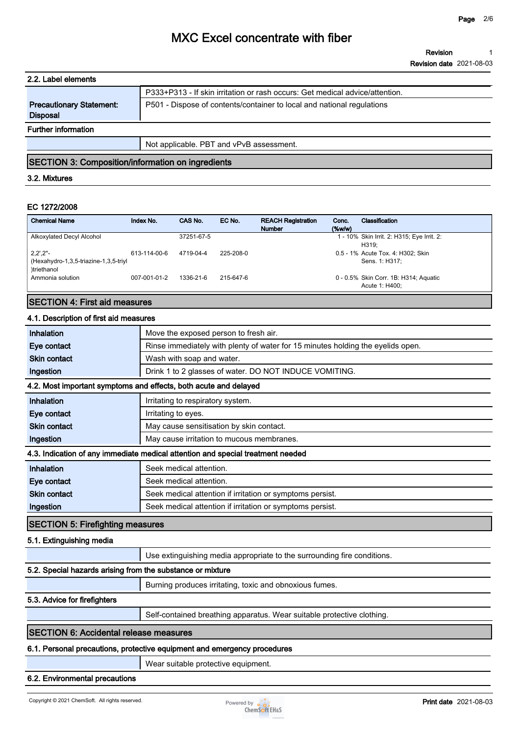| 2.2. Label elements                                |                                                                              |
|----------------------------------------------------|------------------------------------------------------------------------------|
|                                                    | P333+P313 - If skin irritation or rash occurs: Get medical advice/attention. |
| <b>Precautionary Statement:</b><br><b>Disposal</b> | P501 - Dispose of contents/container to local and national regulations       |
| <b>Further information</b>                         |                                                                              |
|                                                    | Not applicable. PBT and vPvB assessment.                                     |

## **SECTION 3: Composition/information on ingredients**

### **3.2. Mixtures**

### **EC 1272/2008**

| <b>Chemical Name</b>                                                                      | Index No.    | CAS No.    | EC No.    | <b>REACH Registration</b><br><b>Number</b> | Conc.<br>$(\%w/w)$ | Classification                                          |
|-------------------------------------------------------------------------------------------|--------------|------------|-----------|--------------------------------------------|--------------------|---------------------------------------------------------|
| Alkoxylated Decyl Alcohol                                                                 |              | 37251-67-5 |           |                                            |                    | 1 - 10% Skin Irrit. 2: H315; Eye Irrit. 2:<br>H319:     |
| $2,2^{\prime},2^{\prime\prime}$ -<br>(Hexahydro-1,3,5-triazine-1,3,5-triyl<br>)triethanol | 613-114-00-6 | 4719-04-4  | 225-208-0 |                                            |                    | 0.5 - 1% Acute Tox. 4: H302; Skin<br>Sens. 1: H317:     |
| Ammonia solution                                                                          | 007-001-01-2 | 1336-21-6  | 215-647-6 |                                            |                    | 0 - 0.5% Skin Corr. 1B: H314; Aquatic<br>Acute 1: H400: |

### **SECTION 4: First aid measures**

#### **4.1. Description of first aid measures**

| Inhalation                                                               | Move the exposed person to fresh air.                                           |  |  |  |
|--------------------------------------------------------------------------|---------------------------------------------------------------------------------|--|--|--|
| Eye contact                                                              | Rinse immediately with plenty of water for 15 minutes holding the eyelids open. |  |  |  |
| <b>Skin contact</b>                                                      | Wash with soap and water.                                                       |  |  |  |
| Ingestion                                                                | Drink 1 to 2 glasses of water. DO NOT INDUCE VOMITING.                          |  |  |  |
|                                                                          | 4.2. Most important symptoms and effects, both acute and delayed                |  |  |  |
| Inhalation                                                               | Irritating to respiratory system.                                               |  |  |  |
| Eye contact                                                              | Irritating to eyes.                                                             |  |  |  |
| <b>Skin contact</b>                                                      | May cause sensitisation by skin contact.                                        |  |  |  |
| Ingestion                                                                | May cause irritation to mucous membranes.                                       |  |  |  |
|                                                                          | 4.3. Indication of any immediate medical attention and special treatment needed |  |  |  |
| Inhalation                                                               | Seek medical attention.                                                         |  |  |  |
| Eye contact                                                              | Seek medical attention.                                                         |  |  |  |
| <b>Skin contact</b>                                                      | Seek medical attention if irritation or symptoms persist.                       |  |  |  |
| Ingestion                                                                | Seek medical attention if irritation or symptoms persist.                       |  |  |  |
| <b>SECTION 5: Firefighting measures</b>                                  |                                                                                 |  |  |  |
| 5.1. Extinguishing media                                                 |                                                                                 |  |  |  |
|                                                                          | Use extinguishing media appropriate to the surrounding fire conditions.         |  |  |  |
| 5.2. Special hazards arising from the substance or mixture               |                                                                                 |  |  |  |
|                                                                          | Burning produces irritating, toxic and obnoxious fumes.                         |  |  |  |
| 5.3. Advice for firefighters                                             |                                                                                 |  |  |  |
|                                                                          | Self-contained breathing apparatus. Wear suitable protective clothing.          |  |  |  |
| <b>SECTION 6: Accidental release measures</b>                            |                                                                                 |  |  |  |
| 6.1. Personal precautions, protective equipment and emergency procedures |                                                                                 |  |  |  |

# **Wear suitable protective equipment.**

#### **6.2. Environmental precautions**

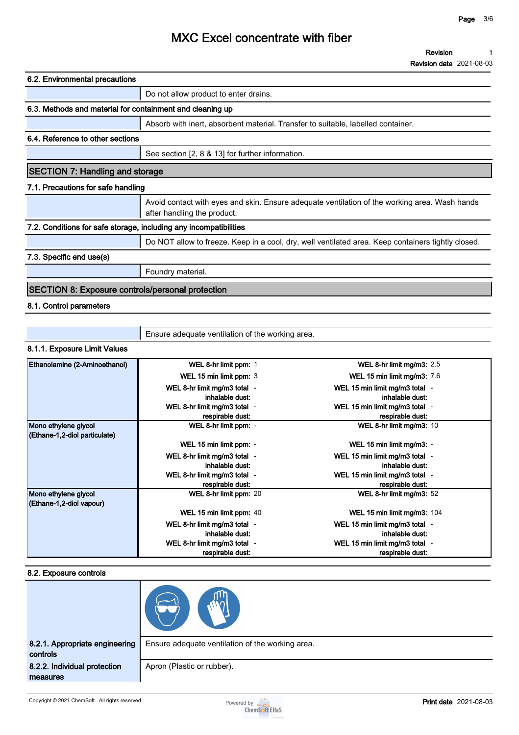| 6.2. Environmental precautions                                    |                                                                                                                              |  |  |  |
|-------------------------------------------------------------------|------------------------------------------------------------------------------------------------------------------------------|--|--|--|
|                                                                   | Do not allow product to enter drains.                                                                                        |  |  |  |
| 6.3. Methods and material for containment and cleaning up         |                                                                                                                              |  |  |  |
|                                                                   | Absorb with inert, absorbent material. Transfer to suitable, labelled container.                                             |  |  |  |
| 6.4. Reference to other sections                                  |                                                                                                                              |  |  |  |
|                                                                   | See section [2, 8 & 13] for further information.                                                                             |  |  |  |
| <b>SECTION 7: Handling and storage</b>                            |                                                                                                                              |  |  |  |
| 7.1. Precautions for safe handling                                |                                                                                                                              |  |  |  |
|                                                                   | Avoid contact with eyes and skin. Ensure adequate ventilation of the working area. Wash hands<br>after handling the product. |  |  |  |
| 7.2. Conditions for safe storage, including any incompatibilities |                                                                                                                              |  |  |  |
|                                                                   | Do NOT allow to freeze. Keep in a cool, dry, well ventilated area. Keep containers tightly closed.                           |  |  |  |
| 7.3. Specific end use(s)                                          |                                                                                                                              |  |  |  |
|                                                                   | Foundry material.                                                                                                            |  |  |  |
| <b>SECTION 8: Exposure controls/personal protection</b>           |                                                                                                                              |  |  |  |
| 8.1. Control parameters                                           |                                                                                                                              |  |  |  |

| Ensure adequate ventilation of the working area. |  |
|--------------------------------------------------|--|
|                                                  |  |

### **8.1.1. Exposure Limit Values**

| <b>Ethanolamine (2-Aminoethanol)</b> | WEL 8-hr limit ppm: 1        | WEL 8-hr limit mg/m3: $2.5$        |
|--------------------------------------|------------------------------|------------------------------------|
|                                      | WEL 15 min limit ppm: 3      | <b>WEL 15 min limit mg/m3: 7.6</b> |
|                                      | WEL 8-hr limit mg/m3 total - | WEL 15 min limit mg/m3 total -     |
|                                      | inhalable dust:              | inhalable dust:                    |
|                                      | WEL 8-hr limit mg/m3 total - | WEL 15 min limit mg/m3 total -     |
|                                      | respirable dust:             | respirable dust:                   |
| Mono ethylene glycol                 | WEL 8-hr limit ppm: -        | WEL 8-hr limit mg/m3: 10           |
| (Ethane-1,2-diol particulate)        |                              |                                    |
|                                      | WEL 15 min limit ppm: -      | WEL 15 min limit mg/m3: -          |
|                                      | WEL 8-hr limit mg/m3 total - | WEL 15 min limit mg/m3 total -     |
|                                      | inhalable dust:              | inhalable dust:                    |
|                                      | WEL 8-hr limit mg/m3 total - | WEL 15 min limit mg/m3 total -     |
|                                      | respirable dust:             | respirable dust:                   |
| Mono ethylene glycol                 | WEL 8-hr limit ppm: 20       | WEL 8-hr limit mg/m3: 52           |
| (Ethane-1,2-diol vapour)             |                              |                                    |
|                                      | WEL 15 min limit ppm: 40     | WEL 15 min limit mg/m3: 104        |
|                                      | WEL 8-hr limit mg/m3 total - | WEL 15 min limit mg/m3 total -     |
|                                      | inhalable dust:              | inhalable dust:                    |
|                                      | WEL 8-hr limit mg/m3 total - | WEL 15 min limit mg/m3 total -     |
|                                      | respirable dust:             | respirable dust:                   |

#### **8.2. Exposure controls**

| 8.2.1. Appropriate engineering<br>controls | Ensure adequate ventilation of the working area. |
|--------------------------------------------|--------------------------------------------------|
| 8.2.2. Individual protection<br>measures   | Apron (Plastic or rubber).                       |

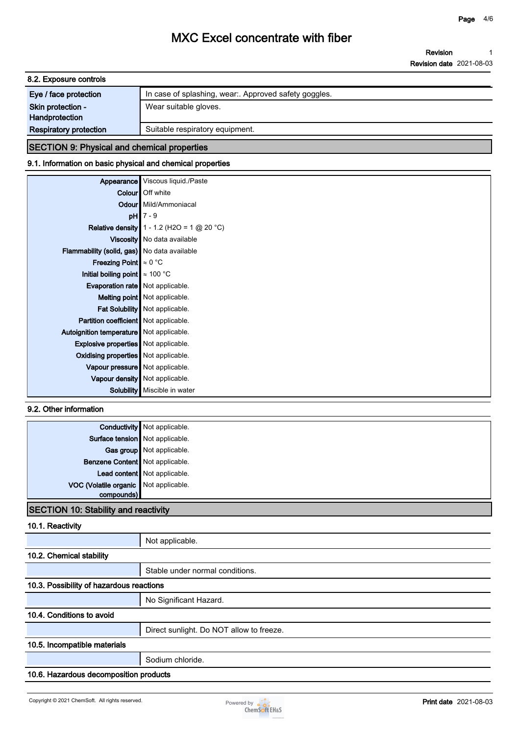| 8.2. Exposure controls              |                                                       |  |  |  |
|-------------------------------------|-------------------------------------------------------|--|--|--|
| Eye / face protection               | In case of splashing, wear:. Approved safety goggles. |  |  |  |
| Skin protection -<br>Handprotection | Wear suitable gloves.                                 |  |  |  |
| <b>Respiratory protection</b>       | Suitable respiratory equipment.                       |  |  |  |

## **SECTION 9: Physical and chemical properties**

### **9.1. Information on basic physical and chemical properties**

| Appearance                                  | Viscous liquid./Paste                               |
|---------------------------------------------|-----------------------------------------------------|
|                                             | <b>Colour</b> Off white                             |
|                                             | Odour Mild/Ammoniacal                               |
| pH                                          | $7 - 9$                                             |
|                                             | <b>Relative density</b> $1 - 1.2$ (H2O = 1 @ 20 °C) |
|                                             | Viscosity   No data available                       |
| Flammability (solid, gas) No data available |                                                     |
| <b>Freezing Point</b> $\approx 0$ °C        |                                                     |
| Initial boiling point $\approx 100$ °C      |                                                     |
| Evaporation rate   Not applicable.          |                                                     |
|                                             | Melting point   Not applicable.                     |
|                                             | Fat Solubility   Not applicable.                    |
| Partition coefficient Not applicable.       |                                                     |
| Autoignition temperature   Not applicable.  |                                                     |
| <b>Explosive properties</b> Not applicable. |                                                     |
| Oxidising properties   Not applicable.      |                                                     |
| Vapour pressure   Not applicable.           |                                                     |
|                                             | Vapour density   Not applicable.                    |
| Solubility                                  | Miscible in water                                   |

### **9.2. Other information**

|                                       | <b>Conductivity</b> Not applicable. |
|---------------------------------------|-------------------------------------|
|                                       | Surface tension Not applicable.     |
|                                       | Gas group Not applicable.           |
| Benzene Content Not applicable.       |                                     |
|                                       | Lead content Not applicable.        |
| VOC (Volatile organic Not applicable. |                                     |
| compounds)                            |                                     |
| . .                                   |                                     |

# **SECTION 10: Stability and reactivity**

### **10.1. Reactivity**

|                                          | Not applicable.                          |  |  |
|------------------------------------------|------------------------------------------|--|--|
| 10.2. Chemical stability                 |                                          |  |  |
|                                          | Stable under normal conditions.          |  |  |
| 10.3. Possibility of hazardous reactions |                                          |  |  |
|                                          | No Significant Hazard.                   |  |  |
| 10.4. Conditions to avoid                |                                          |  |  |
|                                          | Direct sunlight. Do NOT allow to freeze. |  |  |
| 10.5. Incompatible materials             |                                          |  |  |
|                                          | Sodium chloride.                         |  |  |
|                                          | 10.6. Hazardous decomposition products   |  |  |

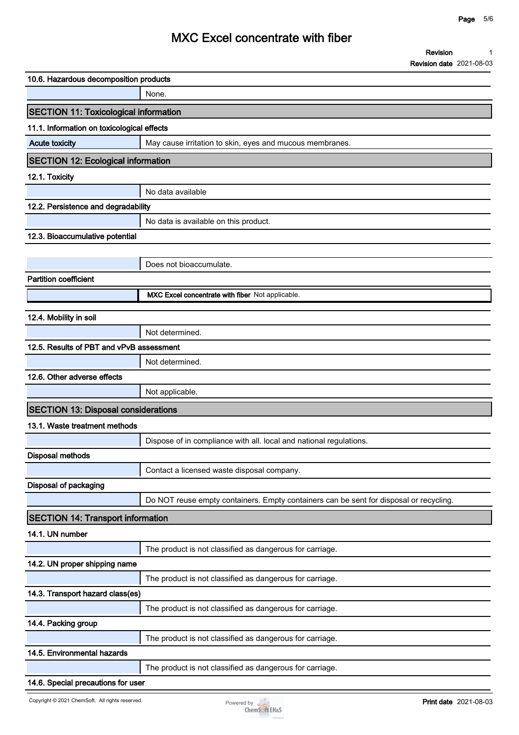**1**

**Revision**

# **MXC Excel concentrate with fiber**

**Revision date 2021-08-03 10.6. Hazardous decomposition products None. SECTION 11: Toxicological information 11.1. Information on toxicological effects Acute toxicity May cause irritation to skin, eyes and mucous membranes. SECTION 12: Ecological information 12.1. Toxicity No data available 12.2. Persistence and degradability No data is available on this product. 12.3. Bioaccumulative potential Does not bioaccumulate. Partition coefficient MXC Excel concentrate with fiber Not applicable. 12.4. Mobility in soil Not determined. 12.5. Results of PBT and vPvB assessment Not determined. 12.6. Other adverse effects Not applicable. SECTION 13: Disposal considerations 13.1. Waste treatment methods Dispose of in compliance with all. local and national regulations. Disposal methods Contact a licensed waste disposal company. Disposal of packaging Do NOT reuse empty containers. Empty containers can be sent for disposal or recycling. SECTION 14: Transport information 14.1. UN number The product is not classified as dangerous for carriage. 14.2. UN proper shipping name The product is not classified as dangerous for carriage. 14.3. Transport hazard class(es) The product is not classified as dangerous for carriage. 14.4. Packing group The product is not classified as dangerous for carriage. 14.5. Environmental hazards The product is not classified as dangerous for carriage.**

#### **14.6. Special precautions for user**